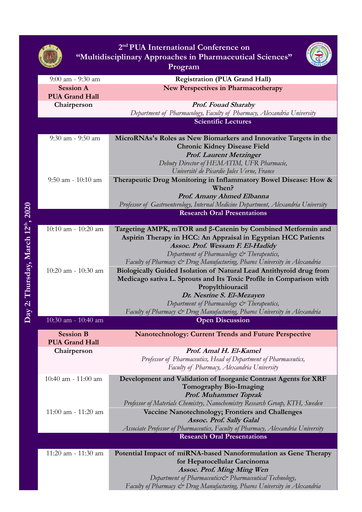| <b>Registration (PUA Grand Hall)</b><br>$9:00$ am - $9:30$ am<br><b>New Perspectives in Pharmacotherapy</b><br><b>Session A</b><br><b>PUA Grand Hall</b><br>Chairperson<br><b>Prof. Fouad Sharaby</b><br>Department of Pharmacology, Faculty of Pharmacy, Alexandria University<br><b>Scientific Lectures</b><br>$9:30$ am - $9:50$ am<br><b>Chronic Kidney Disease Field</b><br><b>Prof. Laurent Metzinger</b><br>Debuty Director of HEMATIM, UFR Pharmacie,<br>Université de Picardie Jules Verne, France<br>$9:50$ am - $10:10$ am<br>When?<br>Prof. Amany Ahmed Elbanna<br>Professor of Gastroenterology, Internal Medicine Department, Alexandria University<br><b>Research Oral Presentations</b><br>10:10 am - 10:20 am<br>Aspirin Therapy in HCC: An Appraisal in Egyptian HCC Patients<br>Assoc. Prof. Wessam F. El-Hadidy<br>Department of Pharmacology & Therapeutics,<br>Faculty of Pharmacy & Drug Manufacturing, Pharos University in Alexandria<br>10:20 am - 10:30 am<br>Propylthiouracil<br>Dr. Nesrine S. El-Mezayen<br>Department of Pharmacology & Therapeutics,<br>Faculty of Pharmacy & Drug Manufacturing, Pharos University in Alexandria<br>10:30 am - 10:40 am<br><b>Open Discussion</b><br><b>Session B</b><br><b>Nanotechnology: Current Trends and Future Perspective</b><br><b>PUA Grand Hall</b><br>Prof. Amal H. El-Kamel<br>Chairperson<br>Professor of Pharmaceutics, Head of Department of Pharmaceutics,<br>Faculty of Pharmacy, Alexandria University<br>$10:40$ am - $11:00$ am<br>Development and Validation of Inorganic Contrast Agents for XRF<br>Tomography Bio-Imaging<br><b>Prof. Muhammet Toprak</b><br>Professor of Materials Chemistry, Nanochemistry Research Group, KTH, Sweden<br>Vaccine Nanotechnology; Frontiers and Challenges<br>$11:00$ am - $11:20$ am<br>Assoc. Prof. Sally Galal<br>Associate Professor of Pharmaceutics, Faculty of Pharmacy, Alexandria University<br><b>Research Oral Presentations</b><br>11:20 am - 11:30 am<br>for Hepatocellular Carcinoma<br><b>Assoc. Prof. Ming Ming Wen</b> | 2 <sup>nd</sup> PUA International Conference on<br>"Multidisciplinary Approaches in Pharmaceutical Sciences"<br>Program |                                                                                                                                            |  |  |
|--------------------------------------------------------------------------------------------------------------------------------------------------------------------------------------------------------------------------------------------------------------------------------------------------------------------------------------------------------------------------------------------------------------------------------------------------------------------------------------------------------------------------------------------------------------------------------------------------------------------------------------------------------------------------------------------------------------------------------------------------------------------------------------------------------------------------------------------------------------------------------------------------------------------------------------------------------------------------------------------------------------------------------------------------------------------------------------------------------------------------------------------------------------------------------------------------------------------------------------------------------------------------------------------------------------------------------------------------------------------------------------------------------------------------------------------------------------------------------------------------------------------------------------------------------------------------------------------------------------------------------------------------------------------------------------------------------------------------------------------------------------------------------------------------------------------------------------------------------------------------------------------------------------------------------------------------------------------------------------------------------------------------------------------------------------------|-------------------------------------------------------------------------------------------------------------------------|--------------------------------------------------------------------------------------------------------------------------------------------|--|--|
|                                                                                                                                                                                                                                                                                                                                                                                                                                                                                                                                                                                                                                                                                                                                                                                                                                                                                                                                                                                                                                                                                                                                                                                                                                                                                                                                                                                                                                                                                                                                                                                                                                                                                                                                                                                                                                                                                                                                                                                                                                                                    |                                                                                                                         |                                                                                                                                            |  |  |
|                                                                                                                                                                                                                                                                                                                                                                                                                                                                                                                                                                                                                                                                                                                                                                                                                                                                                                                                                                                                                                                                                                                                                                                                                                                                                                                                                                                                                                                                                                                                                                                                                                                                                                                                                                                                                                                                                                                                                                                                                                                                    |                                                                                                                         |                                                                                                                                            |  |  |
|                                                                                                                                                                                                                                                                                                                                                                                                                                                                                                                                                                                                                                                                                                                                                                                                                                                                                                                                                                                                                                                                                                                                                                                                                                                                                                                                                                                                                                                                                                                                                                                                                                                                                                                                                                                                                                                                                                                                                                                                                                                                    |                                                                                                                         |                                                                                                                                            |  |  |
|                                                                                                                                                                                                                                                                                                                                                                                                                                                                                                                                                                                                                                                                                                                                                                                                                                                                                                                                                                                                                                                                                                                                                                                                                                                                                                                                                                                                                                                                                                                                                                                                                                                                                                                                                                                                                                                                                                                                                                                                                                                                    |                                                                                                                         |                                                                                                                                            |  |  |
|                                                                                                                                                                                                                                                                                                                                                                                                                                                                                                                                                                                                                                                                                                                                                                                                                                                                                                                                                                                                                                                                                                                                                                                                                                                                                                                                                                                                                                                                                                                                                                                                                                                                                                                                                                                                                                                                                                                                                                                                                                                                    |                                                                                                                         |                                                                                                                                            |  |  |
|                                                                                                                                                                                                                                                                                                                                                                                                                                                                                                                                                                                                                                                                                                                                                                                                                                                                                                                                                                                                                                                                                                                                                                                                                                                                                                                                                                                                                                                                                                                                                                                                                                                                                                                                                                                                                                                                                                                                                                                                                                                                    |                                                                                                                         |                                                                                                                                            |  |  |
|                                                                                                                                                                                                                                                                                                                                                                                                                                                                                                                                                                                                                                                                                                                                                                                                                                                                                                                                                                                                                                                                                                                                                                                                                                                                                                                                                                                                                                                                                                                                                                                                                                                                                                                                                                                                                                                                                                                                                                                                                                                                    |                                                                                                                         | MicroRNAs's Roles as New Biomarkers and Innovative Targets in the                                                                          |  |  |
|                                                                                                                                                                                                                                                                                                                                                                                                                                                                                                                                                                                                                                                                                                                                                                                                                                                                                                                                                                                                                                                                                                                                                                                                                                                                                                                                                                                                                                                                                                                                                                                                                                                                                                                                                                                                                                                                                                                                                                                                                                                                    |                                                                                                                         | Therapeutic Drug Monitoring in Inflammatory Bowel Disease: How &                                                                           |  |  |
|                                                                                                                                                                                                                                                                                                                                                                                                                                                                                                                                                                                                                                                                                                                                                                                                                                                                                                                                                                                                                                                                                                                                                                                                                                                                                                                                                                                                                                                                                                                                                                                                                                                                                                                                                                                                                                                                                                                                                                                                                                                                    |                                                                                                                         |                                                                                                                                            |  |  |
|                                                                                                                                                                                                                                                                                                                                                                                                                                                                                                                                                                                                                                                                                                                                                                                                                                                                                                                                                                                                                                                                                                                                                                                                                                                                                                                                                                                                                                                                                                                                                                                                                                                                                                                                                                                                                                                                                                                                                                                                                                                                    |                                                                                                                         |                                                                                                                                            |  |  |
|                                                                                                                                                                                                                                                                                                                                                                                                                                                                                                                                                                                                                                                                                                                                                                                                                                                                                                                                                                                                                                                                                                                                                                                                                                                                                                                                                                                                                                                                                                                                                                                                                                                                                                                                                                                                                                                                                                                                                                                                                                                                    |                                                                                                                         |                                                                                                                                            |  |  |
|                                                                                                                                                                                                                                                                                                                                                                                                                                                                                                                                                                                                                                                                                                                                                                                                                                                                                                                                                                                                                                                                                                                                                                                                                                                                                                                                                                                                                                                                                                                                                                                                                                                                                                                                                                                                                                                                                                                                                                                                                                                                    |                                                                                                                         | Targeting AMPK, mTOR and β-Catenin by Combined Metformin and                                                                               |  |  |
|                                                                                                                                                                                                                                                                                                                                                                                                                                                                                                                                                                                                                                                                                                                                                                                                                                                                                                                                                                                                                                                                                                                                                                                                                                                                                                                                                                                                                                                                                                                                                                                                                                                                                                                                                                                                                                                                                                                                                                                                                                                                    |                                                                                                                         | Biologically Guided Isolation of Natural Lead Antithyroid drug from<br>Medicago sativa L. Sprouts and Its Toxic Profile in Comparison with |  |  |
|                                                                                                                                                                                                                                                                                                                                                                                                                                                                                                                                                                                                                                                                                                                                                                                                                                                                                                                                                                                                                                                                                                                                                                                                                                                                                                                                                                                                                                                                                                                                                                                                                                                                                                                                                                                                                                                                                                                                                                                                                                                                    |                                                                                                                         |                                                                                                                                            |  |  |
|                                                                                                                                                                                                                                                                                                                                                                                                                                                                                                                                                                                                                                                                                                                                                                                                                                                                                                                                                                                                                                                                                                                                                                                                                                                                                                                                                                                                                                                                                                                                                                                                                                                                                                                                                                                                                                                                                                                                                                                                                                                                    |                                                                                                                         |                                                                                                                                            |  |  |
|                                                                                                                                                                                                                                                                                                                                                                                                                                                                                                                                                                                                                                                                                                                                                                                                                                                                                                                                                                                                                                                                                                                                                                                                                                                                                                                                                                                                                                                                                                                                                                                                                                                                                                                                                                                                                                                                                                                                                                                                                                                                    |                                                                                                                         |                                                                                                                                            |  |  |
|                                                                                                                                                                                                                                                                                                                                                                                                                                                                                                                                                                                                                                                                                                                                                                                                                                                                                                                                                                                                                                                                                                                                                                                                                                                                                                                                                                                                                                                                                                                                                                                                                                                                                                                                                                                                                                                                                                                                                                                                                                                                    |                                                                                                                         |                                                                                                                                            |  |  |
|                                                                                                                                                                                                                                                                                                                                                                                                                                                                                                                                                                                                                                                                                                                                                                                                                                                                                                                                                                                                                                                                                                                                                                                                                                                                                                                                                                                                                                                                                                                                                                                                                                                                                                                                                                                                                                                                                                                                                                                                                                                                    |                                                                                                                         |                                                                                                                                            |  |  |
|                                                                                                                                                                                                                                                                                                                                                                                                                                                                                                                                                                                                                                                                                                                                                                                                                                                                                                                                                                                                                                                                                                                                                                                                                                                                                                                                                                                                                                                                                                                                                                                                                                                                                                                                                                                                                                                                                                                                                                                                                                                                    |                                                                                                                         |                                                                                                                                            |  |  |
|                                                                                                                                                                                                                                                                                                                                                                                                                                                                                                                                                                                                                                                                                                                                                                                                                                                                                                                                                                                                                                                                                                                                                                                                                                                                                                                                                                                                                                                                                                                                                                                                                                                                                                                                                                                                                                                                                                                                                                                                                                                                    |                                                                                                                         |                                                                                                                                            |  |  |
|                                                                                                                                                                                                                                                                                                                                                                                                                                                                                                                                                                                                                                                                                                                                                                                                                                                                                                                                                                                                                                                                                                                                                                                                                                                                                                                                                                                                                                                                                                                                                                                                                                                                                                                                                                                                                                                                                                                                                                                                                                                                    |                                                                                                                         |                                                                                                                                            |  |  |
|                                                                                                                                                                                                                                                                                                                                                                                                                                                                                                                                                                                                                                                                                                                                                                                                                                                                                                                                                                                                                                                                                                                                                                                                                                                                                                                                                                                                                                                                                                                                                                                                                                                                                                                                                                                                                                                                                                                                                                                                                                                                    |                                                                                                                         |                                                                                                                                            |  |  |
|                                                                                                                                                                                                                                                                                                                                                                                                                                                                                                                                                                                                                                                                                                                                                                                                                                                                                                                                                                                                                                                                                                                                                                                                                                                                                                                                                                                                                                                                                                                                                                                                                                                                                                                                                                                                                                                                                                                                                                                                                                                                    |                                                                                                                         |                                                                                                                                            |  |  |
|                                                                                                                                                                                                                                                                                                                                                                                                                                                                                                                                                                                                                                                                                                                                                                                                                                                                                                                                                                                                                                                                                                                                                                                                                                                                                                                                                                                                                                                                                                                                                                                                                                                                                                                                                                                                                                                                                                                                                                                                                                                                    |                                                                                                                         |                                                                                                                                            |  |  |
| Faculty of Pharmacy & Drug Manufacturing, Pharos University in Alexandria                                                                                                                                                                                                                                                                                                                                                                                                                                                                                                                                                                                                                                                                                                                                                                                                                                                                                                                                                                                                                                                                                                                                                                                                                                                                                                                                                                                                                                                                                                                                                                                                                                                                                                                                                                                                                                                                                                                                                                                          |                                                                                                                         | Potential Impact of miRNA-based Nanoformulation as Gene Therapy<br>Department of Pharmaceutics& Pharmaceutical Technology,                 |  |  |